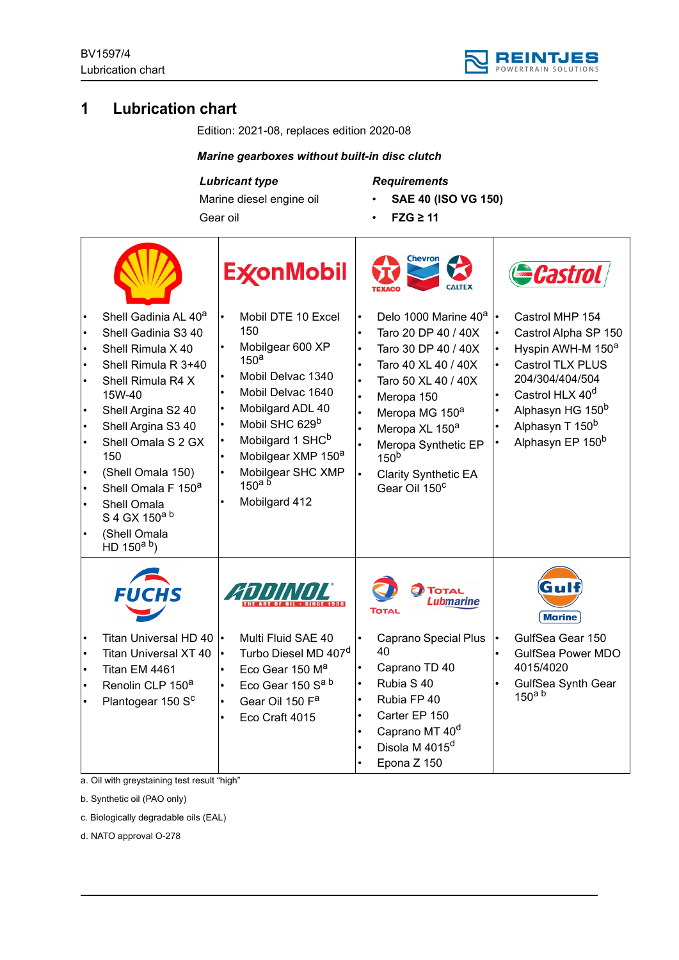

# **1 Lubrication chart**

Edition: 2021-08, replaces edition 2020-08

### *Marine gearboxes without built-in disc clutch*

# *Lubricant type*

Marine diesel engine oil Gear oil

*Requirements*

- **SAE 40 (ISO VG 150)**
- **FZG ≥ 11**

|           |                                                                                                                                                                                                                                                                                                                                             | <b>ExconMobil</b>                                                                                                                                                                                                                                                                                                                                                        |                                                                                                                   | <b>Chevron</b><br><b>CALTEX</b>                                                                                                                                                                                                                                                                               |           | ecastrol                                                                                                                                                                                                                                      |
|-----------|---------------------------------------------------------------------------------------------------------------------------------------------------------------------------------------------------------------------------------------------------------------------------------------------------------------------------------------------|--------------------------------------------------------------------------------------------------------------------------------------------------------------------------------------------------------------------------------------------------------------------------------------------------------------------------------------------------------------------------|-------------------------------------------------------------------------------------------------------------------|---------------------------------------------------------------------------------------------------------------------------------------------------------------------------------------------------------------------------------------------------------------------------------------------------------------|-----------|-----------------------------------------------------------------------------------------------------------------------------------------------------------------------------------------------------------------------------------------------|
| $\bullet$ | Shell Gadinia AL 40 <sup>a</sup><br>Shell Gadinia S3 40<br>Shell Rimula X 40<br>Shell Rimula R 3+40<br>Shell Rimula R4 X<br>15W-40<br>Shell Argina S2 40<br>Shell Argina S3 40<br>Shell Omala S 2 GX<br>150<br>(Shell Omala 150)<br>Shell Omala F 150 <sup>a</sup><br>Shell Omala<br>S 4 GX 150a b<br>(Shell Omala<br>HD $150^{\text{a b}}$ | Mobil DTE 10 Excel<br>$\bullet$<br>150<br>Mobilgear 600 XP<br>150 <sup>a</sup><br>Mobil Delvac 1340<br>Mobil Delvac 1640<br>Mobilgard ADL 40<br>$\bullet$<br>Mobil SHC 629 <sup>b</sup><br>$\bullet$<br>Mobilgard 1 SHC <sup>b</sup><br>$\bullet$<br>Mobilgear XMP 150 <sup>a</sup><br>Mobilgear SHC XMP<br>$\bullet$<br>$150^{\text{a}5}$<br>Mobilgard 412<br>$\bullet$ | $\bullet$<br>$\bullet$<br>$\bullet$<br>$\bullet$<br>$\bullet$<br>$\bullet$<br>$\bullet$<br>$\bullet$<br>$\bullet$ | Delo 1000 Marine 40 <sup>a</sup><br>Taro 20 DP 40 / 40X<br>Taro 30 DP 40 / 40X<br>Taro 40 XL 40 / 40X<br>Taro 50 XL 40 / 40X<br>Meropa 150<br>Meropa MG 150 <sup>a</sup><br>Meropa XL 150 <sup>a</sup><br>Meropa Synthetic EP<br>150 <sup>b</sup><br><b>Clarity Synthetic EA</b><br>Gear Oil 150 <sup>c</sup> | $\bullet$ | Castrol MHP 154<br>Castrol Alpha SP 150<br>Hyspin AWH-M 150 <sup>a</sup><br>Castrol TLX PLUS<br>204/304/404/504<br>Castrol HLX 40 <sup>d</sup><br>Alphasyn HG 150 <sup>b</sup><br>Alphasyn T 150 <sup>b</sup><br>Alphasyn EP 150 <sup>b</sup> |
|           | <b>FUCHS</b><br>Titan Universal HD 40<br><b>Titan Universal XT 40</b><br>Titan EM 4461<br>Renolin CLP 150 <sup>a</sup><br>Plantogear 150 S <sup>c</sup>                                                                                                                                                                                     | Multi Fluid SAE 40<br>$\bullet$<br>Turbo Diesel MD 407 <sup>d</sup><br>$\bullet$<br>Eco Gear 150 M <sup>a</sup><br>$\bullet$<br>Eco Gear 150 Sa b<br>$\bullet$<br>Gear Oil 150 F <sup>a</sup><br>$\bullet$<br>Eco Craft 4015<br>$\bullet$                                                                                                                                | $\bullet$<br>$\bullet$<br>$\bullet$<br>$\bullet$<br>$\bullet$                                                     | <b>TOTAL</b><br>Lubmarine<br>TOTAL<br><b>Caprano Special Plus</b><br>40<br>Caprano TD 40<br>Rubia S 40<br>Rubia FP 40<br>Carter EP 150<br>Caprano MT 40 <sup>d</sup><br>Disola M 4015 <sup>d</sup><br>Epona Z 150                                                                                             |           | GM<br><b>Marine</b><br>GulfSea Gear 150<br><b>GulfSea Power MDO</b><br>4015/4020<br>GulfSea Synth Gear<br>150 <sup>a</sup> b                                                                                                                  |

a. Oil with greystaining test result "high"

b. Synthetic oil (PAO only)

c. Biologically degradable oils (EAL)

d. NATO approval O-278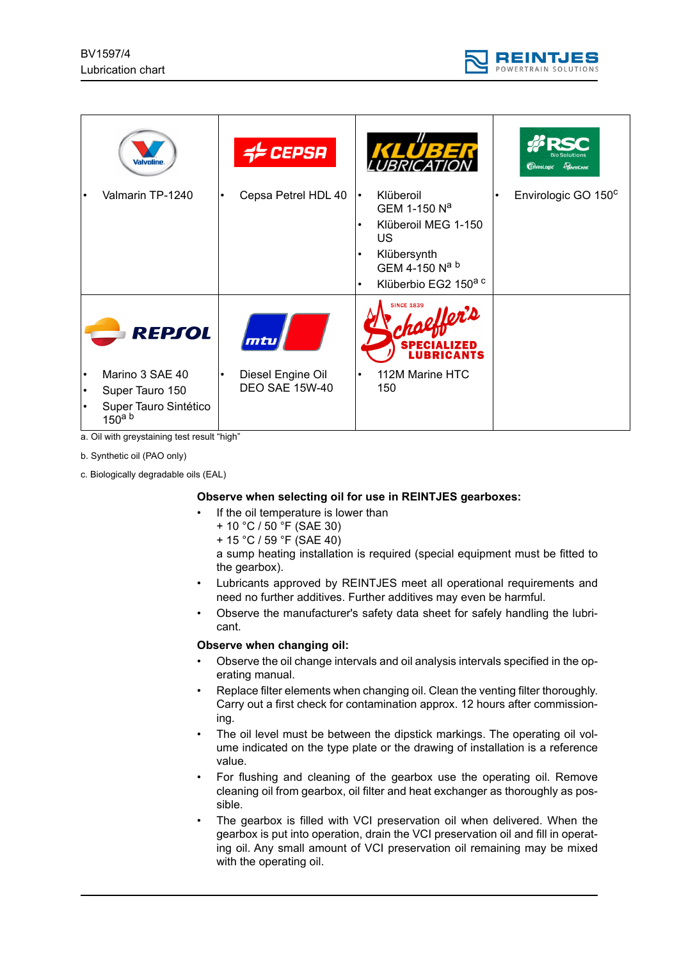

| Valvoline                                                                         |           | <b>CEPSA</b>                               |                                                  | KLÜBER                                                                                                                                  | <b>EnviroLogic</b> CAPECARE     |
|-----------------------------------------------------------------------------------|-----------|--------------------------------------------|--------------------------------------------------|-----------------------------------------------------------------------------------------------------------------------------------------|---------------------------------|
| Valmarin TP-1240                                                                  | $\bullet$ | Cepsa Petrel HDL 40                        | $\bullet$<br>$\bullet$<br>$\bullet$<br>$\bullet$ | Klüberoil<br>GEM 1-150 N <sup>a</sup><br>Klüberoil MEG 1-150<br>US<br>Klübersynth<br>GEM 4-150 Na b<br>Klüberbio EG2 150 <sup>a c</sup> | Envirologic GO 150 <sup>c</sup> |
| <b>REPSOL</b>                                                                     |           | mtu                                        |                                                  | <b>SINCE 1839</b><br><b>IOR'D</b><br>ZED<br>LUBRICANTS                                                                                  |                                 |
| Marino 3 SAE 40<br>Super Tauro 150<br>Super Tauro Sintético<br>150 <sup>a</sup> b | $\bullet$ | Diesel Engine Oil<br><b>DEO SAE 15W-40</b> | $\bullet$                                        | 112M Marine HTC<br>150                                                                                                                  |                                 |

a. Oil with greystaining test result "high"

b. Synthetic oil (PAO only)

c. Biologically degradable oils (EAL)

#### **Observe when selecting oil for use in REINTJES gearboxes:**

- If the oil temperature is lower than
	- + 10 °C / 50 °F (SAE 30)
	- + 15 °C / 59 °F (SAE 40)

a sump heating installation is required (special equipment must be fitted to the gearbox).

- Lubricants approved by REINTJES meet all operational requirements and need no further additives. Further additives may even be harmful.
- Observe the manufacturer's safety data sheet for safely handling the lubricant.

#### **Observe when changing oil:**

- Observe the oil change intervals and oil analysis intervals specified in the operating manual.
- Replace filter elements when changing oil. Clean the venting filter thoroughly. Carry out a first check for contamination approx. 12 hours after commissioning.
- The oil level must be between the dipstick markings. The operating oil volume indicated on the type plate or the drawing of installation is a reference value.
- For flushing and cleaning of the gearbox use the operating oil. Remove cleaning oil from gearbox, oil filter and heat exchanger as thoroughly as possible.
- The gearbox is filled with VCI preservation oil when delivered. When the gearbox is put into operation, drain the VCI preservation oil and fill in operating oil. Any small amount of VCI preservation oil remaining may be mixed with the operating oil.